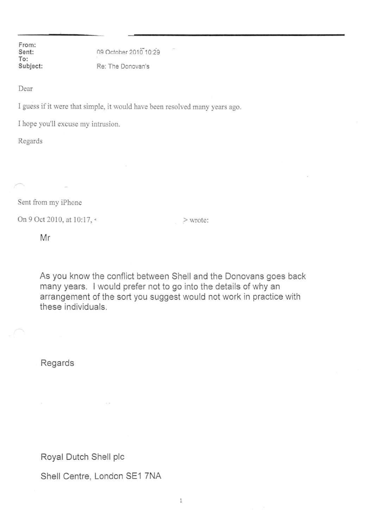From: Sent: To: Subject:

09 October 2010 10:29 Re: The Donovan's

Dear

I guess if it were that simple, it would have been resolved many years ago.

I hope you'll excuse my intrusion.

Regards

Sent from my iPhone

On 9 Oct 2010, at 10:17, < > wrote:

Mr

As you know the conflict between Shell and the Donovans goes back many years. I would prefer not to go into the details of why an arrangement of the sort you suggest would not work in practice with these individuals.

Regards

Royal Dutch Shell pic

Shell Centre, London SE1 7NA

 $\,1\,$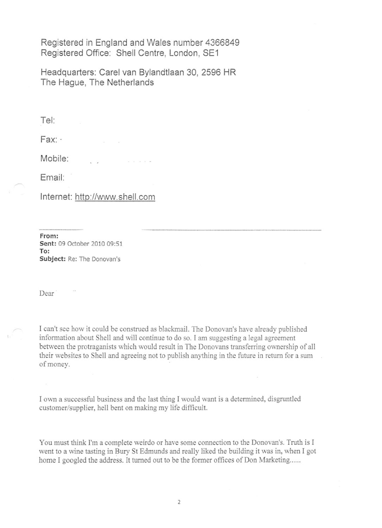Registered in England and Wales number 4366849 Registered Office: Shell Centre, London, SE1

Headquarters: Carel van Bylandtlaan 30, 2596 HR The Hague, The Netherlands

Tel

Fax: .

Mobile:

Email:

Internet: <http://www.shell.com>

From: Sent: 09 October 2010 09:51 To: Subject: Re: The Donovan's

Dear<sup>1</sup>

[ can't see how it could be construed as blackmail. The Donovan's have already published information about Shell and will continue to do so. I am suggesting a legal agreement between the protraganists which would result in The Donovans transferring ownership of all their websites to Shell and agreeing not to publish anything in the future in return for a sum of money.

I own a successful business and the last thing I would want is a determined, disgruntled customer/supplier, hell bent on making my life difficult.

You must think I'm a complete weirdo or have some connection to the Donovan's. Truth is I went to a wine tasting in Bury St Edmunds and really liked the building it was in, when I got home I googled the address. It turned out to be the former offices of Don Marketing......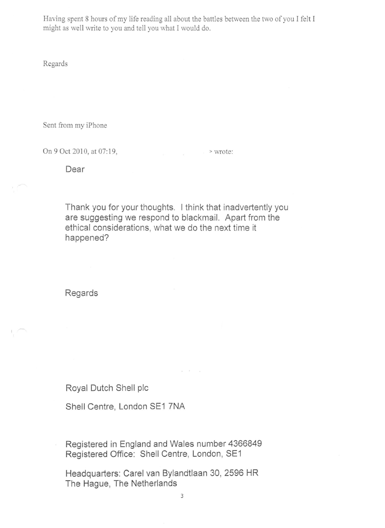Having spent 8 hours of my life reading all about the battles between the two of you I felt I might as well write to you and tell you what I would do.

Regards

Sent from my iPhone

On 9 Oct 2010, at 07:19, > wrote:

Dear

Thank you for your thoughts. I think that inadvertently you are suggesting we respond to blackmail. Apart from the ethical considerations, what we do the next time it happened?

Regards

Royal Dutch Shell pic

Shell Centre, London SE1 7NA

Registered in England and Wales number 4366849 Registered Office: Shell Centre, London, SE1

Headquarters: Carel van Bylandtlaan 30, 2596 HR The Hague, The Netherlands